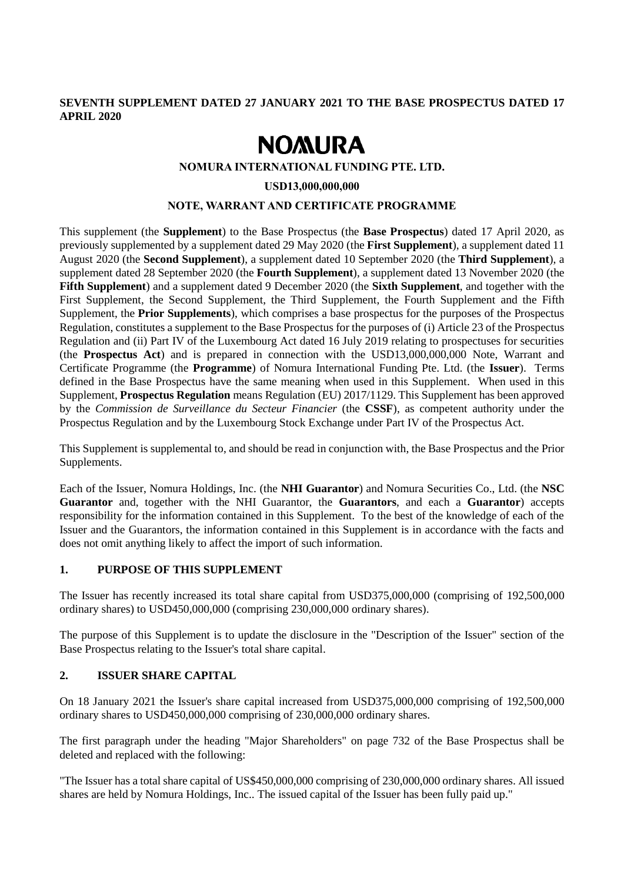## **SEVENTH SUPPLEMENT DATED 27 JANUARY 2021 TO THE BASE PROSPECTUS DATED 17 APRIL 2020**

# **NOMURA**

#### **NOMURA INTERNATIONAL FUNDING PTE. LTD.**

**USD13,000,000,000**

#### **NOTE, WARRANT AND CERTIFICATE PROGRAMME**

This supplement (the **Supplement**) to the Base Prospectus (the **Base Prospectus**) dated 17 April 2020, as previously supplemented by a supplement dated 29 May 2020 (the **First Supplement**), a supplement dated 11 August 2020 (the **Second Supplement**), a supplement dated 10 September 2020 (the **Third Supplement**), a supplement dated 28 September 2020 (the **Fourth Supplement**), a supplement dated 13 November 2020 (the **Fifth Supplement**) and a supplement dated 9 December 2020 (the **Sixth Supplement**, and together with the First Supplement, the Second Supplement, the Third Supplement, the Fourth Supplement and the Fifth Supplement, the **Prior Supplements**), which comprises a base prospectus for the purposes of the Prospectus Regulation, constitutes a supplement to the Base Prospectus for the purposes of (i) Article 23 of the Prospectus Regulation and (ii) Part IV of the Luxembourg Act dated 16 July 2019 relating to prospectuses for securities (the **Prospectus Act**) and is prepared in connection with the USD13,000,000,000 Note, Warrant and Certificate Programme (the **Programme**) of Nomura International Funding Pte. Ltd. (the **Issuer**). Terms defined in the Base Prospectus have the same meaning when used in this Supplement. When used in this Supplement, **Prospectus Regulation** means Regulation (EU) 2017/1129. This Supplement has been approved by the *Commission de Surveillance du Secteur Financier* (the **CSSF**), as competent authority under the Prospectus Regulation and by the Luxembourg Stock Exchange under Part IV of the Prospectus Act.

This Supplement is supplemental to, and should be read in conjunction with, the Base Prospectus and the Prior Supplements.

Each of the Issuer, Nomura Holdings, Inc. (the **NHI Guarantor**) and Nomura Securities Co., Ltd. (the **NSC Guarantor** and, together with the NHI Guarantor, the **Guarantors**, and each a **Guarantor**) accepts responsibility for the information contained in this Supplement. To the best of the knowledge of each of the Issuer and the Guarantors, the information contained in this Supplement is in accordance with the facts and does not omit anything likely to affect the import of such information.

## **1. PURPOSE OF THIS SUPPLEMENT**

The Issuer has recently increased its total share capital from USD375,000,000 (comprising of 192,500,000 ordinary shares) to USD450,000,000 (comprising 230,000,000 ordinary shares).

The purpose of this Supplement is to update the disclosure in the "Description of the Issuer" section of the Base Prospectus relating to the Issuer's total share capital.

#### **2. ISSUER SHARE CAPITAL**

On 18 January 2021 the Issuer's share capital increased from USD375,000,000 comprising of 192,500,000 ordinary shares to USD450,000,000 comprising of 230,000,000 ordinary shares.

The first paragraph under the heading "Major Shareholders" on page 732 of the Base Prospectus shall be deleted and replaced with the following:

"The Issuer has a total share capital of US\$450,000,000 comprising of 230,000,000 ordinary shares. All issued shares are held by Nomura Holdings, Inc.. The issued capital of the Issuer has been fully paid up."